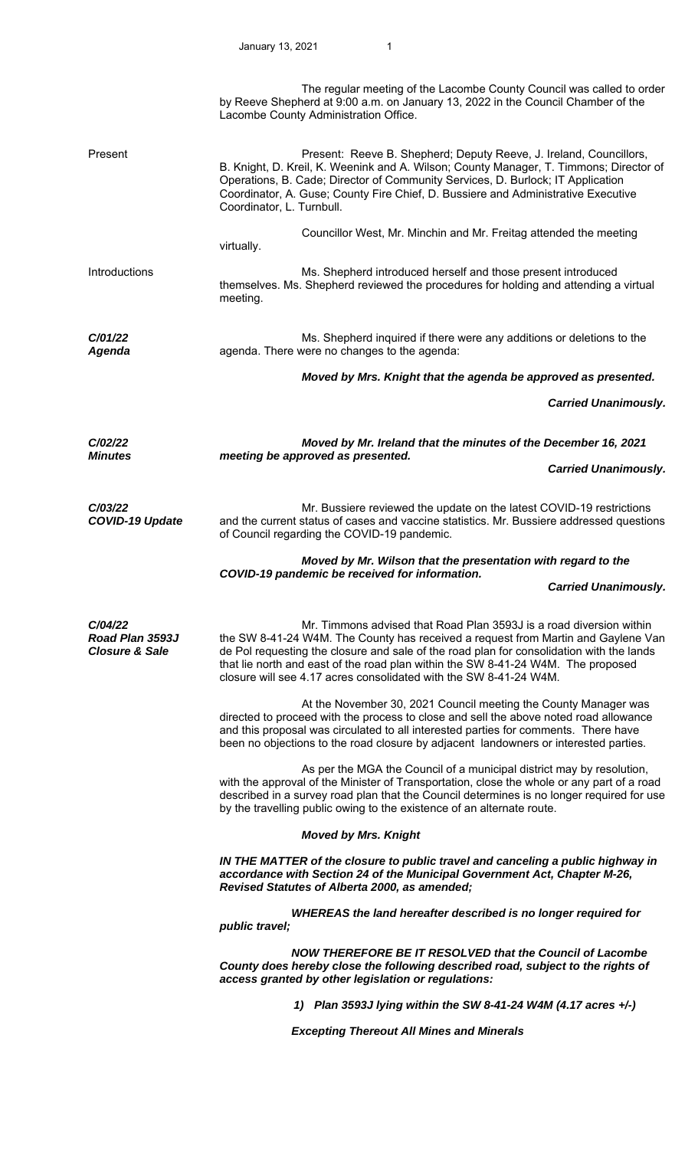|                                                         | The regular meeting of the Lacombe County Council was called to order<br>by Reeve Shepherd at 9:00 a.m. on January 13, 2022 in the Council Chamber of the<br>Lacombe County Administration Office.                                                                                                                                                                                                            |
|---------------------------------------------------------|---------------------------------------------------------------------------------------------------------------------------------------------------------------------------------------------------------------------------------------------------------------------------------------------------------------------------------------------------------------------------------------------------------------|
| Present                                                 | Present: Reeve B. Shepherd; Deputy Reeve, J. Ireland, Councillors,<br>B. Knight, D. Kreil, K. Weenink and A. Wilson; County Manager, T. Timmons; Director of<br>Operations, B. Cade; Director of Community Services, D. Burlock; IT Application<br>Coordinator, A. Guse; County Fire Chief, D. Bussiere and Administrative Executive<br>Coordinator, L. Turnbull.                                             |
|                                                         | Councillor West, Mr. Minchin and Mr. Freitag attended the meeting<br>virtually.                                                                                                                                                                                                                                                                                                                               |
| Introductions                                           | Ms. Shepherd introduced herself and those present introduced<br>themselves. Ms. Shepherd reviewed the procedures for holding and attending a virtual<br>meeting.                                                                                                                                                                                                                                              |
| C/01/22<br><b>Agenda</b>                                | Ms. Shepherd inquired if there were any additions or deletions to the<br>agenda. There were no changes to the agenda:                                                                                                                                                                                                                                                                                         |
|                                                         | Moved by Mrs. Knight that the agenda be approved as presented.                                                                                                                                                                                                                                                                                                                                                |
|                                                         | <b>Carried Unanimously.</b>                                                                                                                                                                                                                                                                                                                                                                                   |
| C/02/22<br><b>Minutes</b>                               | Moved by Mr. Ireland that the minutes of the December 16, 2021<br>meeting be approved as presented.                                                                                                                                                                                                                                                                                                           |
|                                                         | <b>Carried Unanimously.</b>                                                                                                                                                                                                                                                                                                                                                                                   |
| C/03/22<br><b>COVID-19 Update</b>                       | Mr. Bussiere reviewed the update on the latest COVID-19 restrictions<br>and the current status of cases and vaccine statistics. Mr. Bussiere addressed questions<br>of Council regarding the COVID-19 pandemic.                                                                                                                                                                                               |
|                                                         | Moved by Mr. Wilson that the presentation with regard to the<br>COVID-19 pandemic be received for information.                                                                                                                                                                                                                                                                                                |
|                                                         |                                                                                                                                                                                                                                                                                                                                                                                                               |
|                                                         | <b>Carried Unanimously.</b>                                                                                                                                                                                                                                                                                                                                                                                   |
| C/04/22<br>Road Plan 3593J<br><b>Closure &amp; Sale</b> | Mr. Timmons advised that Road Plan 3593J is a road diversion within<br>the SW 8-41-24 W4M. The County has received a request from Martin and Gaylene Van<br>de Pol requesting the closure and sale of the road plan for consolidation with the lands<br>that lie north and east of the road plan within the SW 8-41-24 W4M. The proposed<br>closure will see 4.17 acres consolidated with the SW 8-41-24 W4M. |
|                                                         | At the November 30, 2021 Council meeting the County Manager was<br>directed to proceed with the process to close and sell the above noted road allowance<br>and this proposal was circulated to all interested parties for comments. There have<br>been no objections to the road closure by adjacent landowners or interested parties.                                                                       |
|                                                         | As per the MGA the Council of a municipal district may by resolution,<br>with the approval of the Minister of Transportation, close the whole or any part of a road<br>described in a survey road plan that the Council determines is no longer required for use<br>by the travelling public owing to the existence of an alternate route.                                                                    |
|                                                         | <b>Moved by Mrs. Knight</b>                                                                                                                                                                                                                                                                                                                                                                                   |
|                                                         | IN THE MATTER of the closure to public travel and canceling a public highway in<br>accordance with Section 24 of the Municipal Government Act, Chapter M-26,<br>Revised Statutes of Alberta 2000, as amended;                                                                                                                                                                                                 |
|                                                         | WHEREAS the land hereafter described is no longer required for<br>public travel;                                                                                                                                                                                                                                                                                                                              |
|                                                         | <b>NOW THEREFORE BE IT RESOLVED that the Council of Lacombe</b><br>County does hereby close the following described road, subject to the rights of<br>access granted by other legislation or regulations:                                                                                                                                                                                                     |
|                                                         | 1) Plan 3593J lying within the SW 8-41-24 W4M (4.17 acres +/-)                                                                                                                                                                                                                                                                                                                                                |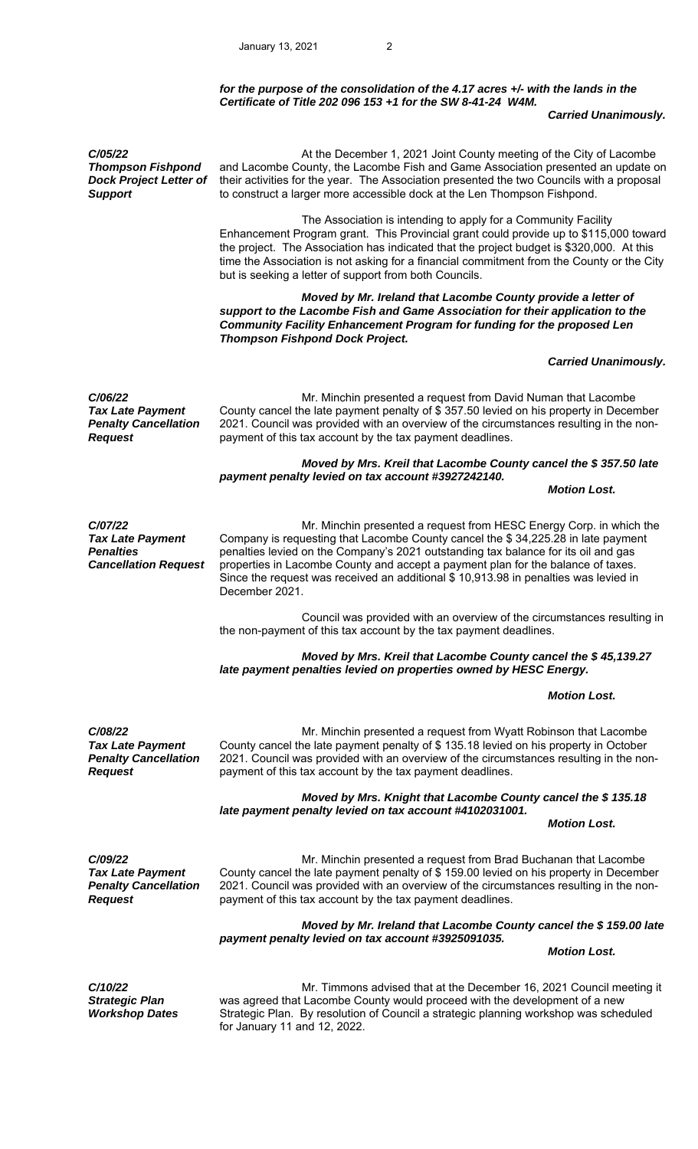## *for the purpose of the consolidation of the 4.17 acres +/- with the lands in the Certificate of Title 202 096 153 +1 for the SW 8-41-24 W4M.*

#### *Carried Unanimously.*

*C/05/22 Thompson Fishpond Dock Project Letter of Support*  At the December 1, 2021 Joint County meeting of the City of Lacombe and Lacombe County, the Lacombe Fish and Game Association presented an update on their activities for the year. The Association presented the two Councils with a proposal to construct a larger more accessible dock at the Len Thompson Fishpond. The Association is intending to apply for a Community Facility Enhancement Program grant. This Provincial grant could provide up to \$115,000 toward the project. The Association has indicated that the project budget is \$320,000. At this time the Association is not asking for a financial commitment from the County or the City but is seeking a letter of support from both Councils. *Moved by Mr. Ireland that Lacombe County provide a letter of support to the Lacombe Fish and Game Association for their application to the Community Facility Enhancement Program for funding for the proposed Len Thompson Fishpond Dock Project. Carried Unanimously. C/06/22 Tax Late Payment Penalty Cancellation Request*  Mr. Minchin presented a request from David Numan that Lacombe County cancel the late payment penalty of \$ 357.50 levied on his property in December 2021. Council was provided with an overview of the circumstances resulting in the nonpayment of this tax account by the tax payment deadlines.  *Moved by Mrs. Kreil that Lacombe County cancel the \$ 357.50 late payment penalty levied on tax account #3927242140. Motion Lost. C/07/22 Tax Late Payment Penalties Cancellation Request*  Mr. Minchin presented a request from HESC Energy Corp. in which the Company is requesting that Lacombe County cancel the \$ 34,225.28 in late payment penalties levied on the Company's 2021 outstanding tax balance for its oil and gas properties in Lacombe County and accept a payment plan for the balance of taxes. Since the request was received an additional \$ 10,913.98 in penalties was levied in December 2021. Council was provided with an overview of the circumstances resulting in the non-payment of this tax account by the tax payment deadlines.  *Moved by Mrs. Kreil that Lacombe County cancel the \$ 45,139.27 late payment penalties levied on properties owned by HESC Energy. Motion Lost. C/08/22 Tax Late Payment Penalty Cancellation Request*  Mr. Minchin presented a request from Wyatt Robinson that Lacombe County cancel the late payment penalty of \$ 135.18 levied on his property in October 2021. Council was provided with an overview of the circumstances resulting in the nonpayment of this tax account by the tax payment deadlines.  *Moved by Mrs. Knight that Lacombe County cancel the \$ 135.18 late payment penalty levied on tax account #4102031001. Motion Lost. C/09/22 Tax Late Payment Penalty Cancellation Request*  Mr. Minchin presented a request from Brad Buchanan that Lacombe County cancel the late payment penalty of \$ 159.00 levied on his property in December 2021. Council was provided with an overview of the circumstances resulting in the nonpayment of this tax account by the tax payment deadlines.  *Moved by Mr. Ireland that Lacombe County cancel the \$ 159.00 late payment penalty levied on tax account #3925091035. Motion Lost. C/10/22 Strategic Plan Workshop Dates*  Mr. Timmons advised that at the December 16, 2021 Council meeting it was agreed that Lacombe County would proceed with the development of a new Strategic Plan. By resolution of Council a strategic planning workshop was scheduled for January 11 and 12, 2022.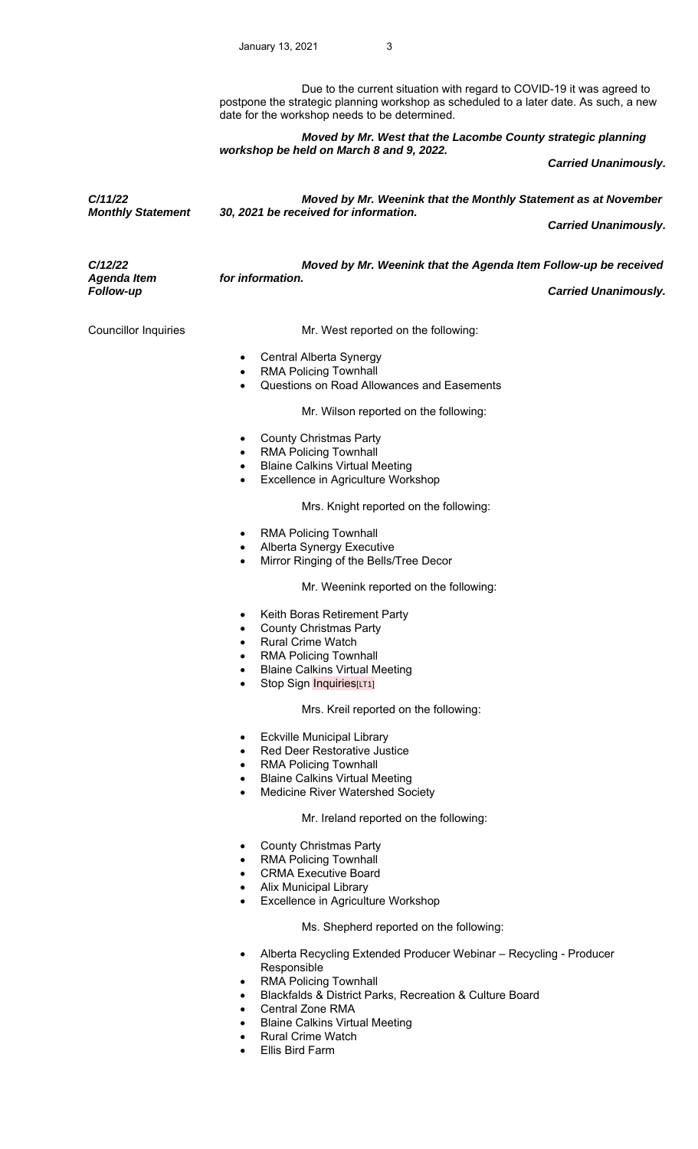Due to the current situation with regard to COVID-19 it was agreed to postpone the strategic planning workshop as scheduled to a later date. As such, a new date for the workshop needs to be determined.

 *Moved by Mr. West that the Lacombe County strategic planning workshop be held on March 8 and 9, 2022.* 

 *Carried Unanimously.* 

*C/11/22 Monthly Statement Moved by Mr. Weenink that the Monthly Statement as at November 30, 2021 be received for information.* 

 *Carried Unanimously.* 

*C/12/22 Agenda Item Moved by Mr. Weenink that the Agenda Item Follow-up be received for information.*  **Carried Unanimously.** 

Councillor Inquiries **Mr.** West reported on the following:

- Central Alberta Synergy
- RMA Policing Townhall
- Questions on Road Allowances and Easements

Mr. Wilson reported on the following:

- County Christmas Party
- RMA Policing Townhall
- Blaine Calkins Virtual Meeting
- Excellence in Agriculture Workshop

Mrs. Knight reported on the following:

- RMA Policing Townhall
- Alberta Synergy Executive
- Mirror Ringing of the Bells/Tree Decor

# Mr. Weenink reported on the following:

- Keith Boras Retirement Party
- County Christmas Party
- Rural Crime Watch
- RMA Policing Townhall
- Blaine Calkins Virtual Meeting
- Stop Sign Inquiries[LT1]

### Mrs. Kreil reported on the following:

- Eckville Municipal Library
- Red Deer Restorative Justice
- RMA Policing Townhall
- Blaine Calkins Virtual Meeting
- Medicine River Watershed Society

#### Mr. Ireland reported on the following:

- County Christmas Party
- RMA Policing Townhall
- CRMA Executive Board
- Alix Municipal Library
- Excellence in Agriculture Workshop

### Ms. Shepherd reported on the following:

- Alberta Recycling Extended Producer Webinar Recycling Producer Responsible
- RMA Policing Townhall
- Blackfalds & District Parks, Recreation & Culture Board
- Central Zone RMA
- Blaine Calkins Virtual Meeting
- Rural Crime Watch
- Ellis Bird Farm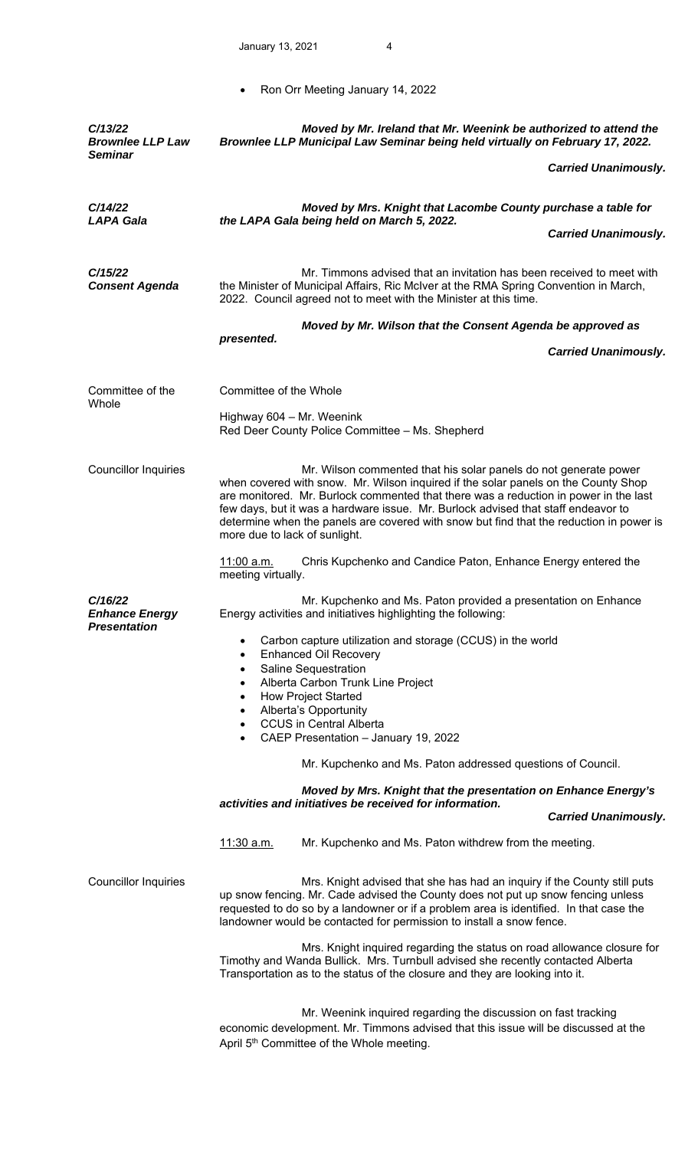• Ron Orr Meeting January 14, 2022

| C/13/22<br><b>Brownlee LLP Law</b><br><b>Seminar</b>    | Moved by Mr. Ireland that Mr. Weenink be authorized to attend the<br>Brownlee LLP Municipal Law Seminar being held virtually on February 17, 2022.                                                                                                                                                                                                                                                                                                              |
|---------------------------------------------------------|-----------------------------------------------------------------------------------------------------------------------------------------------------------------------------------------------------------------------------------------------------------------------------------------------------------------------------------------------------------------------------------------------------------------------------------------------------------------|
|                                                         | <b>Carried Unanimously.</b>                                                                                                                                                                                                                                                                                                                                                                                                                                     |
| C/14/22<br><b>LAPA Gala</b>                             | Moved by Mrs. Knight that Lacombe County purchase a table for<br>the LAPA Gala being held on March 5, 2022.<br><b>Carried Unanimously.</b>                                                                                                                                                                                                                                                                                                                      |
| C/15/22<br><b>Consent Agenda</b>                        | Mr. Timmons advised that an invitation has been received to meet with<br>the Minister of Municipal Affairs, Ric McIver at the RMA Spring Convention in March,<br>2022. Council agreed not to meet with the Minister at this time.                                                                                                                                                                                                                               |
|                                                         | Moved by Mr. Wilson that the Consent Agenda be approved as                                                                                                                                                                                                                                                                                                                                                                                                      |
|                                                         | presented.<br><b>Carried Unanimously.</b>                                                                                                                                                                                                                                                                                                                                                                                                                       |
| Committee of the<br>Whole                               | Committee of the Whole                                                                                                                                                                                                                                                                                                                                                                                                                                          |
|                                                         | Highway 604 - Mr. Weenink<br>Red Deer County Police Committee - Ms. Shepherd                                                                                                                                                                                                                                                                                                                                                                                    |
| <b>Councillor Inquiries</b>                             | Mr. Wilson commented that his solar panels do not generate power<br>when covered with snow. Mr. Wilson inquired if the solar panels on the County Shop<br>are monitored. Mr. Burlock commented that there was a reduction in power in the last<br>few days, but it was a hardware issue. Mr. Burlock advised that staff endeavor to<br>determine when the panels are covered with snow but find that the reduction in power is<br>more due to lack of sunlight. |
|                                                         | Chris Kupchenko and Candice Paton, Enhance Energy entered the<br><u>11:00 a.m.</u><br>meeting virtually.                                                                                                                                                                                                                                                                                                                                                        |
| C/16/22<br><b>Enhance Energy</b><br><b>Presentation</b> | Mr. Kupchenko and Ms. Paton provided a presentation on Enhance<br>Energy activities and initiatives highlighting the following:<br>Carbon capture utilization and storage (CCUS) in the world<br>$\bullet$<br><b>Enhanced Oil Recovery</b><br>$\bullet$<br>Saline Sequestration<br>$\bullet$<br>Alberta Carbon Trunk Line Project<br>$\bullet$                                                                                                                  |
|                                                         | <b>How Project Started</b><br>$\bullet$<br>Alberta's Opportunity                                                                                                                                                                                                                                                                                                                                                                                                |
|                                                         | <b>CCUS in Central Alberta</b><br>CAEP Presentation - January 19, 2022<br>$\bullet$                                                                                                                                                                                                                                                                                                                                                                             |
|                                                         | Mr. Kupchenko and Ms. Paton addressed questions of Council.                                                                                                                                                                                                                                                                                                                                                                                                     |
|                                                         | Moved by Mrs. Knight that the presentation on Enhance Energy's                                                                                                                                                                                                                                                                                                                                                                                                  |
|                                                         | activities and initiatives be received for information.<br><b>Carried Unanimously.</b>                                                                                                                                                                                                                                                                                                                                                                          |
|                                                         | Mr. Kupchenko and Ms. Paton withdrew from the meeting.<br><u>11:30 a.m.</u>                                                                                                                                                                                                                                                                                                                                                                                     |
| <b>Councillor Inquiries</b>                             | Mrs. Knight advised that she has had an inquiry if the County still puts<br>up snow fencing. Mr. Cade advised the County does not put up snow fencing unless<br>requested to do so by a landowner or if a problem area is identified. In that case the<br>landowner would be contacted for permission to install a snow fence.                                                                                                                                  |
|                                                         | Mrs. Knight inquired regarding the status on road allowance closure for<br>Timothy and Wanda Bullick. Mrs. Turnbull advised she recently contacted Alberta<br>Transportation as to the status of the closure and they are looking into it.                                                                                                                                                                                                                      |
|                                                         | Mr. Weenink inquired regarding the discussion on fast tracking<br>economic development. Mr. Timmons advised that this issue will be discussed at the<br>April 5 <sup>th</sup> Committee of the Whole meeting.                                                                                                                                                                                                                                                   |